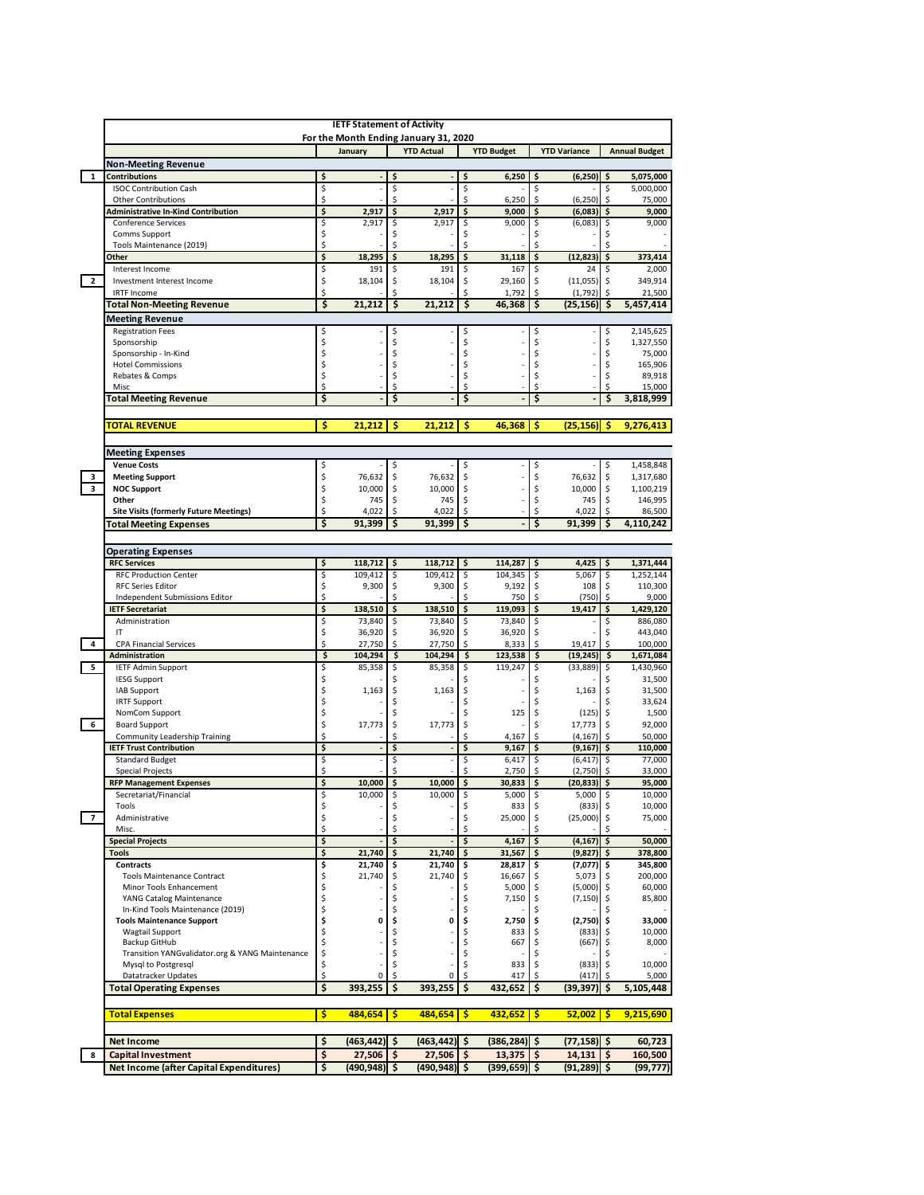|                          | <b>IETF Statement of Activity</b>                                           |          |                      |          |                                       |          |                     |          |                        |          |                      |
|--------------------------|-----------------------------------------------------------------------------|----------|----------------------|----------|---------------------------------------|----------|---------------------|----------|------------------------|----------|----------------------|
|                          |                                                                             |          |                      |          | For the Month Ending January 31, 2020 |          |                     |          |                        |          |                      |
|                          |                                                                             |          | January              |          | <b>YTD Actual</b>                     |          | <b>YTD Budget</b>   |          | <b>YTD Variance</b>    |          | <b>Annual Budget</b> |
|                          | <b>Non-Meeting Revenue</b>                                                  |          |                      |          |                                       |          |                     |          |                        |          |                      |
| $\mathbf{1}$             | <b>Contributions</b>                                                        | Ś        |                      | Ś        |                                       | Ś        | 6,250               |          | (6, 250)               | Ś        | 5,075,000            |
|                          | <b>ISOC Contribution Cash</b>                                               | \$       |                      | \$       |                                       | \$       |                     | \$       |                        | \$       | 5,000,000            |
|                          | <b>Other Contributions</b>                                                  | \$       |                      | \$       |                                       | \$       | 6,250               | \$       | (6, 250)               | \$       | 75,000               |
|                          | <b>Administrative In-Kind Contribution</b>                                  | \$       | 2,917                | \$       | 2,917                                 | \$       | 9,000               | \$       | (6,083)                | \$       | 9,000                |
|                          | <b>Conference Services</b>                                                  | \$       | 2,917                | \$       | 2,917                                 | \$       | 9,000               | \$       | (6,083)                | \$       | 9,000                |
|                          | Comms Support                                                               | \$<br>\$ |                      | \$       |                                       | \$<br>\$ |                     | \$       |                        | \$<br>ς  |                      |
|                          | Tools Maintenance (2019)                                                    | \$       |                      | \$       |                                       |          |                     | Ś        |                        |          |                      |
|                          | Other                                                                       | \$       | 18,295               | \$       | 18,295                                | \$       | 31,118              | \$       | (12, 823)              | \$       | 373,414              |
| $\overline{2}$           | Interest Income                                                             | \$       | 191                  | \$<br>\$ | 191                                   | \$<br>\$ | 167                 | \$<br>\$ | 24<br>(11,055)         | \$<br>\$ | 2,000<br>349,914     |
|                          | Investment Interest Income<br><b>IRTF Income</b>                            | Ś        | 18,104               | \$       | 18,104                                | ς        | 29,160<br>1,792     | \$       | (1,792)                | \$       | 21,500               |
|                          | Total Non-Meeting Revenue                                                   | \$       | 21,212               | \$       | 21,212                                | \$       | 46,368              | \$       | (25,156)               | \$       | 5,457,414            |
|                          |                                                                             |          |                      |          |                                       |          |                     |          |                        |          |                      |
|                          | <b>Meeting Revenue</b>                                                      |          |                      |          |                                       |          |                     |          |                        |          |                      |
|                          | <b>Registration Fees</b>                                                    | \$<br>\$ |                      | \$<br>\$ |                                       | \$<br>\$ |                     | \$<br>\$ |                        | \$<br>\$ | 2,145,625            |
|                          | Sponsorship<br>Sponsorship - In-Kind                                        | \$       |                      | \$       |                                       | \$       |                     | \$       |                        | \$       | 1,327,550<br>75,000  |
|                          | <b>Hotel Commissions</b>                                                    | \$       |                      | \$       |                                       | \$       |                     | Ś        |                        | \$       | 165,906              |
|                          | Rebates & Comps                                                             | \$       |                      | \$       |                                       | \$       |                     | \$       |                        | \$       | 89,918               |
|                          | Misc                                                                        | Ś        |                      | Ś        |                                       | Ś        |                     |          |                        | Ś        | 15,000               |
|                          | <b>Total Meeting Revenue</b>                                                | \$       |                      | \$       |                                       | \$       |                     | \$       |                        | \$       | 3,818,999            |
|                          |                                                                             |          |                      |          |                                       |          |                     |          |                        |          |                      |
|                          | <b>TOTAL REVENUE</b>                                                        | \$       | 21,212               | \$       | 21,212                                | \$       | 46,368              | \$       | (25, 156)              | \$       | 9,276,413            |
|                          |                                                                             |          |                      |          |                                       |          |                     |          |                        |          |                      |
|                          |                                                                             |          |                      |          |                                       |          |                     |          |                        |          |                      |
|                          | <b>Meeting Expenses</b><br><b>Venue Costs</b>                               | \$       |                      | \$       |                                       | \$       |                     | \$       |                        | \$       | 1,458,848            |
| з                        | <b>Meeting Support</b>                                                      | \$       | 76,632               | \$       | 76,632                                | \$       |                     | \$       | 76,632                 | \$       | 1,317,680            |
| $\overline{\mathbf{3}}$  | <b>NOC Support</b>                                                          | \$       | 10,000               | \$       | 10,000                                | \$       |                     | \$       | 10,000                 | \$       | 1,100,219            |
|                          | Other                                                                       | \$       | 745                  | \$       | 745                                   | \$       |                     | \$       | 745                    | \$       | 146,995              |
|                          | <b>Site Visits (formerly Future Meetings)</b>                               | Ś        | 4,022                | \$       | 4,022                                 | Ś        |                     | \$       | 4,022                  | Ś        | 86,500               |
|                          | <b>Total Meeting Expenses</b>                                               | Ś        | 91,399               | \$       | 91.399                                | \$       |                     | \$       | 91.399                 | Ś        | 4,110,242            |
|                          |                                                                             |          |                      |          |                                       |          |                     |          |                        |          |                      |
|                          |                                                                             |          |                      |          |                                       |          |                     |          |                        |          |                      |
|                          | <b>Operating Expenses</b><br><b>RFC Services</b>                            | \$       | 118,712              | \$       | 118,712                               | \$       | 114,287             | \$       | 4,425                  | \$       | 1,371,444            |
|                          | <b>RFC Production Center</b>                                                | \$       | 109,412              | \$       | 109,412                               | \$       | 104,345             | \$       | 5,067                  | \$       | 1,252,144            |
|                          | <b>RFC Series Editor</b>                                                    | \$       | 9,300                | \$       | 9,300                                 | \$       | 9,192               | \$       | 108                    | \$       | 110,300              |
|                          | Independent Submissions Editor                                              | \$       |                      | Ś        |                                       | Ś        | 750                 | \$       | (750)                  | \$       | 9,000                |
|                          | <b>IETF Secretariat</b>                                                     | \$       | 138,510              | \$       | 138,510                               | \$       | 119,093             | \$       | 19,417                 | \$       | 1,429,120            |
|                          | Administration                                                              | \$       | 73,840               | \$       | 73,840                                | \$       | 73,840              | \$       |                        | \$       | 886,080              |
|                          | IT                                                                          | \$       | 36,920               | \$       | 36,920                                | \$       | 36,920              | \$       |                        | \$       | 443,040              |
| $\overline{\mathbf{4}}$  | <b>CPA Financial Services</b>                                               | \$       | 27,750               | \$       | 27,750                                | \$       | 8,333               | \$       | 19,417                 | \$       | 100,000              |
|                          | Administration                                                              | \$       | 104,294              | \$       | 104,294                               | \$       | 123,538             | \$       | (19, 245)              | \$       | 1,671,084            |
| 5                        | <b>IETF Admin Support</b>                                                   | \$       | 85,358               | \$       | 85,358                                | \$       | 119,247             | \$       | (33, 889)              | \$       | 1,430,960            |
|                          | <b>IESG Support</b>                                                         | \$       |                      | \$       |                                       | \$       |                     | \$       |                        |          | 31,500               |
|                          | <b>IAB Support</b>                                                          | \$       | 1,163                | \$       | 1,163                                 | \$       |                     | Ś        | 1,163                  | \$       | 31,500               |
|                          | <b>IRTF Support</b>                                                         | \$       |                      | \$       |                                       | \$       |                     | \$       |                        | \$       | 33,624               |
|                          | NomCom Support                                                              | \$       |                      | \$       |                                       | \$       | 125                 | \$       | (125)                  | \$<br>\$ | 1,500                |
| 6                        | <b>Board Support</b>                                                        | \$<br>Ś  | 17,773               | \$<br>\$ | 17,773                                | \$<br>Ś  |                     | \$       |                        |          | 92,000               |
|                          | <b>Community Leadership Training</b>                                        | Ś        |                      |          |                                       |          |                     |          | 17,773                 |          |                      |
|                          | <b>IETF Trust Contribution</b>                                              |          |                      |          |                                       |          | 4,167               | \$       | (4, 167)               | Ś        | 50,000               |
|                          |                                                                             |          |                      | \$       |                                       | \$       | 9,167               | \$       | (9, 167)               | \$       | 110,000              |
|                          | <b>Standard Budget</b>                                                      | \$       |                      | \$       |                                       | \$       | 6,417               | \$       | (6, 417)               | \$       | 77,000               |
|                          | <b>Special Projects</b>                                                     | \$       |                      | \$       |                                       | Ś        | 2,750               | \$       | (2,750)                | \$       | 33,000               |
|                          | <b>RFP Management Expenses</b>                                              | \$       | 10.000               | \$       | 10,000                                | \$       | 30.833              | \$       | (20, 833)              | \$       | 95,000               |
|                          | Secretariat/Financial<br>Tools                                              |          | 10,000               |          | 10,000                                |          | 5,000               | \$       | 5,000                  | Ş        | 10,000               |
| $\overline{\phantom{a}}$ | Administrative                                                              | \$       |                      | \$<br>\$ |                                       | \$<br>\$ | 833<br>25,000       | \$       | $(833)$ \$<br>(25,000) | \$       | 10,000<br>75,000     |
|                          | Misc.                                                                       | \$<br>Ś  |                      | \$       |                                       |          |                     |          |                        |          |                      |
|                          | <b>Special Projects</b>                                                     | \$       |                      | \$       |                                       | \$       | 4,167               | \$       | (4, 167)               | \$       | 50,000               |
|                          | <b>Tools</b>                                                                | \$       | 21,740               | \$       | 21,740                                | \$       | 31,567              | \$       | (9, 827)               | \$       | 378,800              |
|                          | <b>Contracts</b>                                                            | \$       | 21,740               | \$       | 21,740                                | \$       | 28,817              | \$       | (7,077)                | \$       | 345,800              |
|                          | <b>Tools Maintenance Contract</b>                                           | \$       | 21,740               | \$       | 21,740                                | \$       | 16,667              | \$       | 5,073                  | \$       | 200,000              |
|                          | Minor Tools Enhancement                                                     | \$       |                      | \$       |                                       | \$       | 5,000               | \$       | (5,000)                | \$       | 60,000               |
|                          | YANG Catalog Maintenance                                                    | \$       |                      | \$       |                                       | \$       | 7,150               | \$       | (7, 150)               | \$       | 85,800               |
|                          | In-Kind Tools Maintenance (2019)                                            | \$       |                      | \$       |                                       | \$       |                     | \$       |                        | \$       |                      |
|                          | <b>Tools Maintenance Support</b>                                            | \$       | 0                    | \$       | 0                                     | \$       | 2,750               | \$       | (2,750)                | \$       | 33,000               |
|                          | <b>Wagtail Support</b>                                                      | \$       |                      | \$       |                                       | \$       | 833                 | \$       | (833)                  | \$       | 10,000               |
|                          | Backup GitHub                                                               | \$       |                      | \$       |                                       | \$       | 667                 |          | (667)                  | \$       | 8,000                |
|                          | Transition YANGvalidator.org & YANG Maintenance                             | \$       |                      | \$       |                                       | \$       |                     |          |                        |          |                      |
|                          | Mysql to Postgresql<br>Datatracker Updates                                  | \$<br>Ś  | 0                    | \$<br>\$ | 0                                     | \$<br>Ś  | 833<br>417          | \$       | (833)<br>(417)         | \$.      | 10,000<br>5,000      |
|                          |                                                                             | \$       |                      | \$       |                                       |          |                     | \$       |                        | \$       |                      |
|                          | <b>Total Operating Expenses</b>                                             |          | 393,255              |          | 393,255                               | \$       | 432,652             |          | (39, 397)              |          | 5,105,448            |
|                          |                                                                             |          |                      |          |                                       |          |                     |          |                        |          |                      |
|                          | <b>Total Expenses</b>                                                       | \$       | 484,654              | s        | 484,654                               | \$       | 432,652             | \$       | 52,002                 | s        | 9,215,690            |
|                          |                                                                             |          |                      |          |                                       |          |                     |          |                        |          |                      |
|                          | <b>Net Income</b>                                                           | \$       | (463,442)            | \$       | (463, 442)                            | \$       | (386,284)           | \$       | $(77, 158)$ \$         |          | 60,723               |
| 8                        | <b>Capital Investment</b><br><b>Net Income (after Capital Expenditures)</b> | \$<br>\$ | 27,506<br>(490, 948) | \$<br>\$ | 27,506<br>(490, 948)                  | \$<br>\$ | 13,375<br>(399,659) | \$<br>\$ | 14,131<br>(91, 289)    | \$<br>\$ | 160,500<br>(99, 777) |